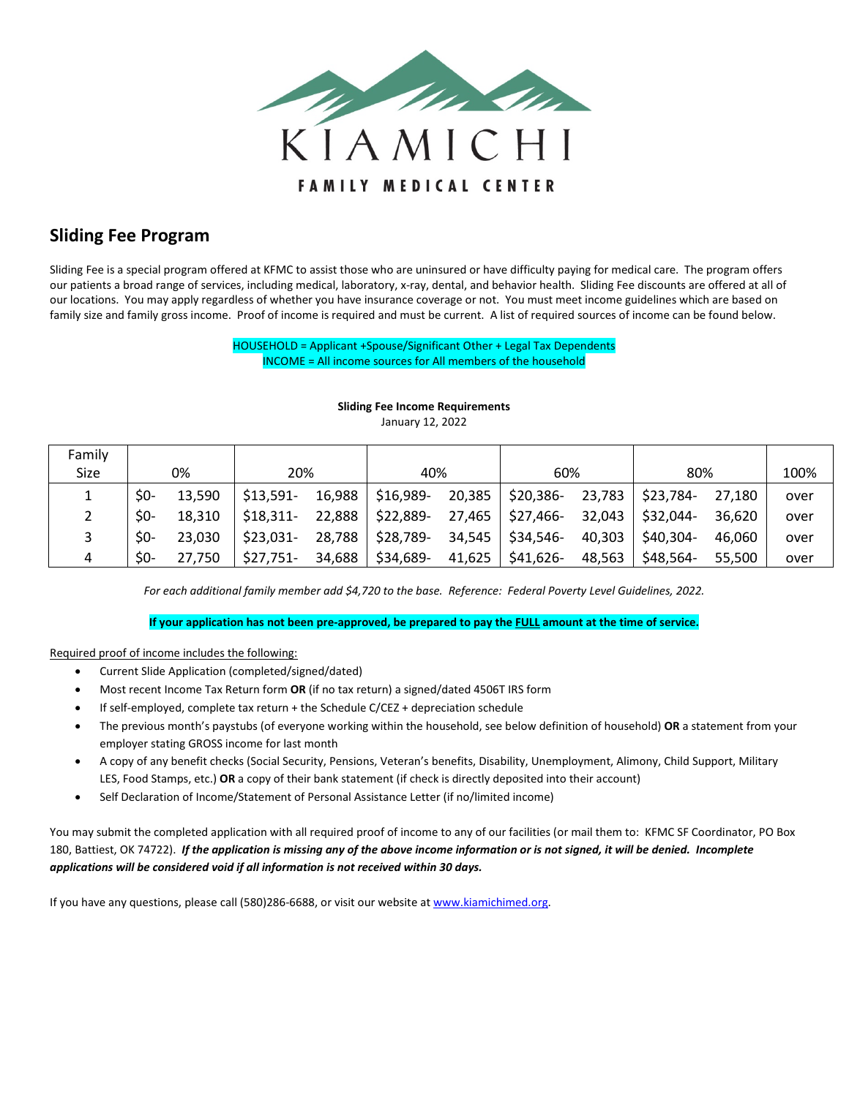

## **Sliding Fee Program**

Sliding Fee is a special program offered at KFMC to assist those who are uninsured or have difficulty paying for medical care. The program offers our patients a broad range of services, including medical, laboratory, x-ray, dental, and behavior health. Sliding Fee discounts are offered at all of our locations. You may apply regardless of whether you have insurance coverage or not. You must meet income guidelines which are based on family size and family gross income. Proof of income is required and must be current. A list of required sources of income can be found below.

> HOUSEHOLD = Applicant +Spouse/Significant Other + Legal Tax Dependents INCOME = All income sources for All members of the household

| Family |       |        |            |        |           |        |           |        |           |        |      |
|--------|-------|--------|------------|--------|-----------|--------|-----------|--------|-----------|--------|------|
| Size   | 0%    |        | 20%        |        | 40%       |        | 60%       |        | 80%       |        | 100% |
|        | $50-$ | 13,590 | $$13,591-$ | 16,988 | \$16,989- | 20,385 | \$20,386- | 23,783 | \$23,784- | 27.180 | over |
|        | $SO-$ | 18.310 | $$18,311-$ | 22,888 | \$22,889- | 27,465 | \$27,466- | 32,043 | \$32,044- | 36,620 | over |
|        | $50-$ | 23.030 | $$23,031-$ | 28,788 | \$28,789- | 34,545 | \$34,546- | 40,303 | \$40,304- | 46.060 | over |
| 4      | $50-$ | 27.750 | $$27,751-$ | 34,688 | \$34,689- | 41,625 | \$41,626- | 48,563 | \$48,564- | 55,500 | over |

## **Sliding Fee Income Requirements**

January 12, 2022

*For each additional family member add \$4,720 to the base. Reference: Federal Poverty Level Guidelines, 2022.*

**If your application has not been pre-approved, be prepared to pay the FULL amount at the time of service.**

## Required proof of income includes the following:

- Current Slide Application (completed/signed/dated)
- Most recent Income Tax Return form **OR** (if no tax return) a signed/dated 4506T IRS form
- If self-employed, complete tax return + the Schedule C/CEZ + depreciation schedule
- The previous month's paystubs (of everyone working within the household, see below definition of household) **OR** a statement from your employer stating GROSS income for last month
- A copy of any benefit checks (Social Security, Pensions, Veteran's benefits, Disability, Unemployment, Alimony, Child Support, Military LES, Food Stamps, etc.) **OR** a copy of their bank statement (if check is directly deposited into their account)
- Self Declaration of Income/Statement of Personal Assistance Letter (if no/limited income)

You may submit the completed application with all required proof of income to any of our facilities (or mail them to: KFMC SF Coordinator, PO Box 180, Battiest, OK 74722). *If the application is missing any of the above income information or is not signed, it will be denied. Incomplete applications will be considered void if all information is not received within 30 days.*

If you have any questions, please call (580)286-6688, or visit our website a[t www.kiamichimed.org.](http://www.kiamichimed.org/)